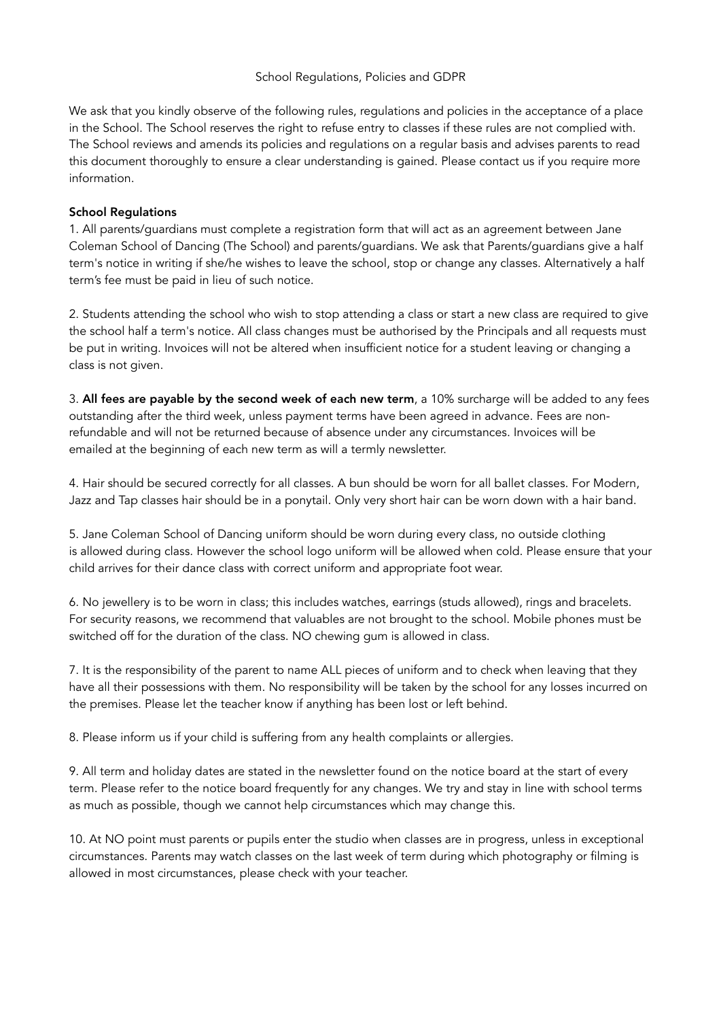#### School Regulations, Policies and GDPR

We ask that you kindly observe of the following rules, regulations and policies in the acceptance of a place in the School. The School reserves the right to refuse entry to classes if these rules are not complied with. The School reviews and amends its policies and regulations on a regular basis and advises parents to read this document thoroughly to ensure a clear understanding is gained. Please contact us if you require more information.

## School Regulations

1. All parents/guardians must complete a registration form that will act as an agreement between Jane Coleman School of Dancing (The School) and parents/guardians. We ask that Parents/guardians give a half term's notice in writing if she/he wishes to leave the school, stop or change any classes. Alternatively a half term's fee must be paid in lieu of such notice.

2. Students attending the school who wish to stop attending a class or start a new class are required to give the school half a term's notice. All class changes must be authorised by the Principals and all requests must be put in writing. Invoices will not be altered when insufficient notice for a student leaving or changing a class is not given.

3. All fees are payable by the second week of each new term, a 10% surcharge will be added to any fees outstanding after the third week, unless payment terms have been agreed in advance. Fees are nonrefundable and will not be returned because of absence under any circumstances. Invoices will be emailed at the beginning of each new term as will a termly newsletter.

4. Hair should be secured correctly for all classes. A bun should be worn for all ballet classes. For Modern, Jazz and Tap classes hair should be in a ponytail. Only very short hair can be worn down with a hair band.

5. Jane Coleman School of Dancing uniform should be worn during every class, no outside clothing is allowed during class. However the school logo uniform will be allowed when cold. Please ensure that your child arrives for their dance class with correct uniform and appropriate foot wear.

6. No jewellery is to be worn in class; this includes watches, earrings (studs allowed), rings and bracelets. For security reasons, we recommend that valuables are not brought to the school. Mobile phones must be switched off for the duration of the class. NO chewing gum is allowed in class.

7. It is the responsibility of the parent to name ALL pieces of uniform and to check when leaving that they have all their possessions with them. No responsibility will be taken by the school for any losses incurred on the premises. Please let the teacher know if anything has been lost or left behind.

8. Please inform us if your child is suffering from any health complaints or allergies.

9. All term and holiday dates are stated in the newsletter found on the notice board at the start of every term. Please refer to the notice board frequently for any changes. We try and stay in line with school terms as much as possible, though we cannot help circumstances which may change this.

10. At NO point must parents or pupils enter the studio when classes are in progress, unless in exceptional circumstances. Parents may watch classes on the last week of term during which photography or filming is allowed in most circumstances, please check with your teacher.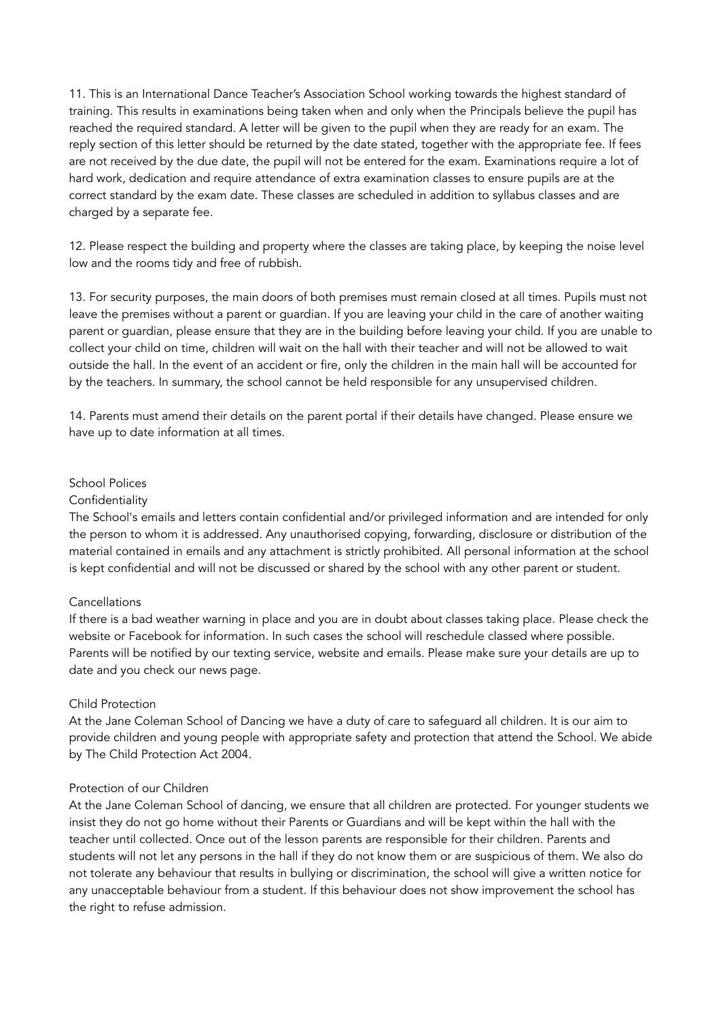11. This is an International Dance Teacher's Association School working towards the highest standard of training. This results in examinations being taken when and only when the Principals believe the pupil has reached the required standard. A letter will be given to the pupil when they are ready for an exam. The reply section of this letter should be returned by the date stated, together with the appropriate fee. If fees are not received by the due date, the pupil will not be entered for the exam. Examinations require a lot of hard work, dedication and require attendance of extra examination classes to ensure pupils are at the correct standard by the exam date. These classes are scheduled in addition to syllabus classes and are charged by a separate fee.

12. Please respect the building and property where the classes are taking place, by keeping the noise level low and the rooms tidy and free of rubbish.

13. For security purposes, the main doors of both premises must remain closed at all times. Pupils must not leave the premises without a parent or guardian. If you are leaving your child in the care of another waiting parent or guardian, please ensure that they are in the building before leaving your child. If you are unable to collect your child on time, children will wait on the hall with their teacher and will not be allowed to wait outside the hall. In the event of an accident or fire, only the children in the main hall will be accounted for by the teachers. In summary, the school cannot be held responsible for any unsupervised children.

14. Parents must amend their details on the parent portal if their details have changed. Please ensure we have up to date information at all times.

#### School Polices

#### **Confidentiality**

The School's emails and letters contain confidential and/or privileged information and are intended for only the person to whom it is addressed. Any unauthorised copying, forwarding, disclosure or distribution of the material contained in emails and any attachment is strictly prohibited. All personal information at the school is kept confidential and will not be discussed or shared by the school with any other parent or student.

#### **Cancellations**

If there is a bad weather warning in place and you are in doubt about classes taking place. Please check the website or Facebook for information. In such cases the school will reschedule classed where possible. Parents will be notified by our texting service, website and emails. Please make sure your details are up to date and you check our news page.

#### Child Protection

At the Jane Coleman School of Dancing we have a duty of care to safeguard all children. It is our aim to provide children and young people with appropriate safety and protection that attend the School. We abide by The Child Protection Act 2004.

## Protection of our Children

At the Jane Coleman School of dancing, we ensure that all children are protected. For younger students we insist they do not go home without their Parents or Guardians and will be kept within the hall with the teacher until collected. Once out of the lesson parents are responsible for their children. Parents and students will not let any persons in the hall if they do not know them or are suspicious of them. We also do not tolerate any behaviour that results in bullying or discrimination, the school will give a written notice for any unacceptable behaviour from a student. If this behaviour does not show improvement the school has the right to refuse admission.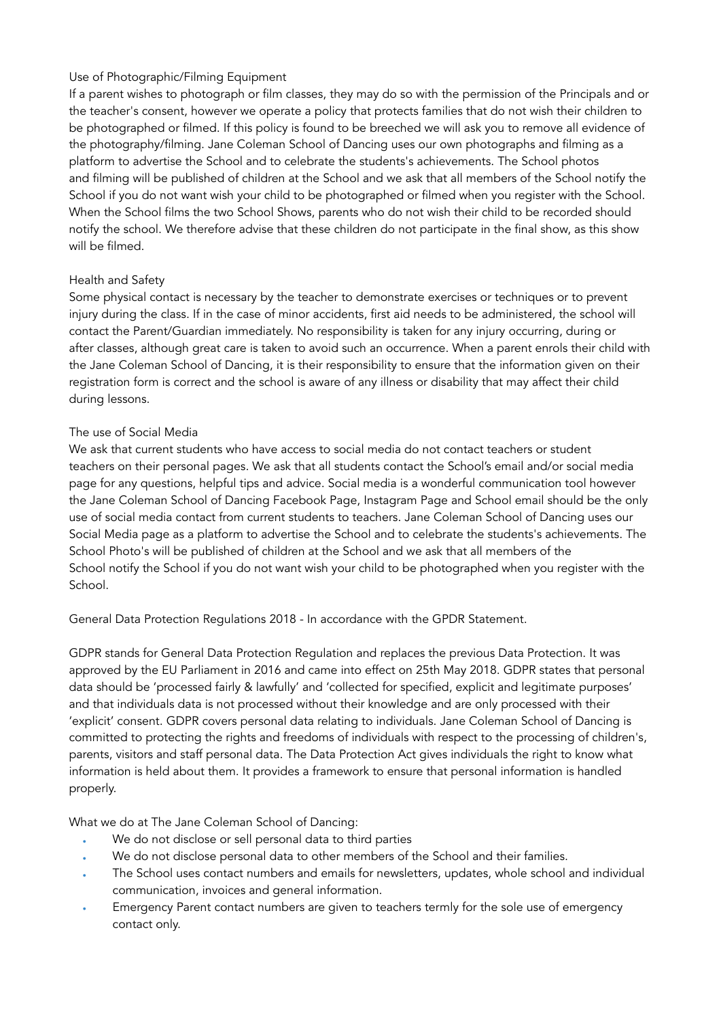# Use of Photographic/Filming Equipment

If a parent wishes to photograph or film classes, they may do so with the permission of the Principals and or the teacher's consent, however we operate a policy that protects families that do not wish their children to be photographed or filmed. If this policy is found to be breeched we will ask you to remove all evidence of the photography/filming. Jane Coleman School of Dancing uses our own photographs and filming as a platform to advertise the School and to celebrate the students's achievements. The School photos and filming will be published of children at the School and we ask that all members of the School notify the School if you do not want wish your child to be photographed or filmed when you register with the School. When the School films the two School Shows, parents who do not wish their child to be recorded should notify the school. We therefore advise that these children do not participate in the final show, as this show will be filmed.

## Health and Safety

Some physical contact is necessary by the teacher to demonstrate exercises or techniques or to prevent injury during the class. If in the case of minor accidents, first aid needs to be administered, the school will contact the Parent/Guardian immediately. No responsibility is taken for any injury occurring, during or after classes, although great care is taken to avoid such an occurrence. When a parent enrols their child with the Jane Coleman School of Dancing, it is their responsibility to ensure that the information given on their registration form is correct and the school is aware of any illness or disability that may affect their child during lessons.

## The use of Social Media

We ask that current students who have access to social media do not contact teachers or student teachers on their personal pages. We ask that all students contact the School's email and/or social media page for any questions, helpful tips and advice. Social media is a wonderful communication tool however the Jane Coleman School of Dancing Facebook Page, Instagram Page and School email should be the only use of social media contact from current students to teachers. Jane Coleman School of Dancing uses our Social Media page as a platform to advertise the School and to celebrate the students's achievements. The School Photo's will be published of children at the School and we ask that all members of the School notify the School if you do not want wish your child to be photographed when you register with the School.

General Data Protection Regulations 2018 - In accordance with the GPDR Statement.

GDPR stands for General Data Protection Regulation and replaces the previous Data Protection. It was approved by the EU Parliament in 2016 and came into effect on 25th May 2018. GDPR states that personal data should be 'processed fairly & lawfully' and 'collected for specified, explicit and legitimate purposes' and that individuals data is not processed without their knowledge and are only processed with their 'explicit' consent. GDPR covers personal data relating to individuals. Jane Coleman School of Dancing is committed to protecting the rights and freedoms of individuals with respect to the processing of children's, parents, visitors and staff personal data. The Data Protection Act gives individuals the right to know what information is held about them. It provides a framework to ensure that personal information is handled properly.

What we do at The Jane Coleman School of Dancing:

- We do not disclose or sell personal data to third parties
- We do not disclose personal data to other members of the School and their families.
- The School uses contact numbers and emails for newsletters, updates, whole school and individual communication, invoices and general information.
- Emergency Parent contact numbers are given to teachers termly for the sole use of emergency contact only.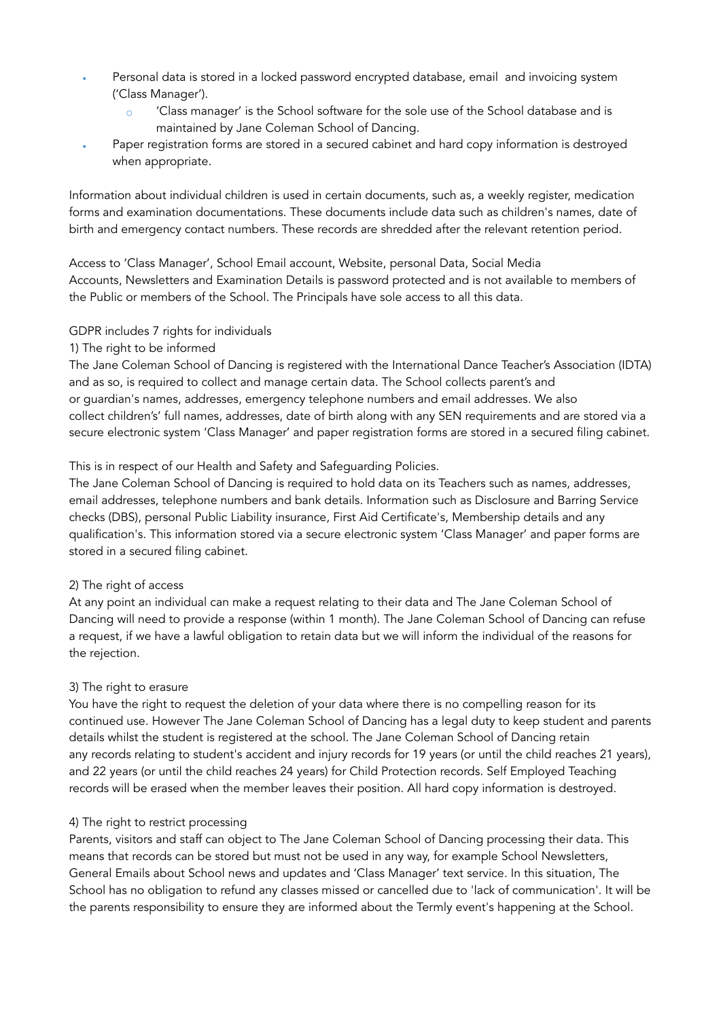- Personal data is stored in a locked password encrypted database, email and invoicing system ('Class Manager').
	- 'Class manager' is the School software for the sole use of the School database and is maintained by Jane Coleman School of Dancing.
- Paper registration forms are stored in a secured cabinet and hard copy information is destroyed when appropriate.

Information about individual children is used in certain documents, such as, a weekly register, medication forms and examination documentations. These documents include data such as children's names, date of birth and emergency contact numbers. These records are shredded after the relevant retention period.

Access to 'Class Manager', School Email account, Website, personal Data, Social Media Accounts, Newsletters and Examination Details is password protected and is not available to members of the Public or members of the School. The Principals have sole access to all this data.

## GDPR includes 7 rights for individuals

## 1) The right to be informed

The Jane Coleman School of Dancing is registered with the International Dance Teacher's Association (IDTA) and as so, is required to collect and manage certain data. The School collects parent's and or guardian's names, addresses, emergency telephone numbers and email addresses. We also collect children's' full names, addresses, date of birth along with any SEN requirements and are stored via a secure electronic system 'Class Manager' and paper registration forms are stored in a secured filing cabinet.

## This is in respect of our Health and Safety and Safeguarding Policies.

The Jane Coleman School of Dancing is required to hold data on its Teachers such as names, addresses, email addresses, telephone numbers and bank details. Information such as Disclosure and Barring Service checks (DBS), personal Public Liability insurance, First Aid Certificate's, Membership details and any qualification's. This information stored via a secure electronic system 'Class Manager' and paper forms are stored in a secured filing cabinet.

#### 2) The right of access

At any point an individual can make a request relating to their data and The Jane Coleman School of Dancing will need to provide a response (within 1 month). The Jane Coleman School of Dancing can refuse a request, if we have a lawful obligation to retain data but we will inform the individual of the reasons for the rejection.

#### 3) The right to erasure

You have the right to request the deletion of your data where there is no compelling reason for its continued use. However The Jane Coleman School of Dancing has a legal duty to keep student and parents details whilst the student is registered at the school. The Jane Coleman School of Dancing retain any records relating to student's accident and injury records for 19 years (or until the child reaches 21 years), and 22 years (or until the child reaches 24 years) for Child Protection records. Self Employed Teaching records will be erased when the member leaves their position. All hard copy information is destroyed.

# 4) The right to restrict processing

Parents, visitors and staff can object to The Jane Coleman School of Dancing processing their data. This means that records can be stored but must not be used in any way, for example School Newsletters, General Emails about School news and updates and 'Class Manager' text service. In this situation, The School has no obligation to refund any classes missed or cancelled due to 'lack of communication'. It will be the parents responsibility to ensure they are informed about the Termly event's happening at the School.